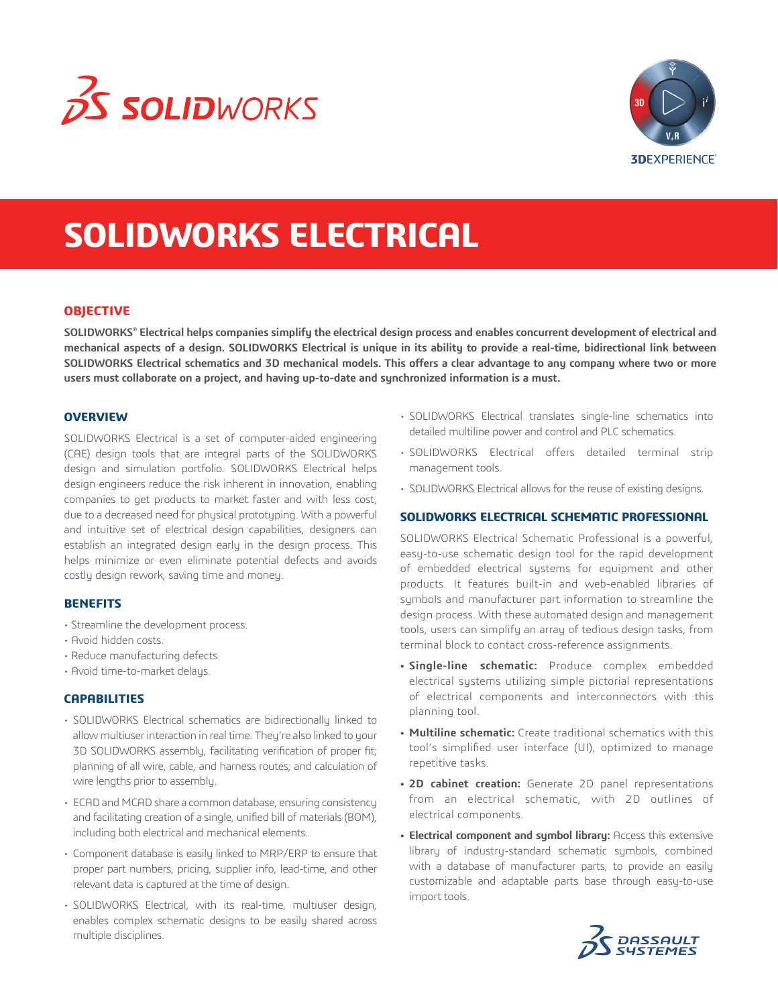



# **SOLIDWORKS ELECTRICAL**

# **OBJECTIVE**

**SOLIDWORKS® Electrical helps companies simplify the electrical design process and enables concurrent development of electrical and mechanical aspects of a design. SOLIDWORKS Electrical is unique in its ability to provide a real-time, bidirectional link between SOLIDWORKS Electrical schematics and 3D mechanical models. This offers a clear advantage to any company where two or more users must collaborate on a project, and having up-to-date and synchronized information is a must.**

### **OVERVIEW**

SOLIDWORKS Electrical is a set of computer-aided engineering (CAE) design tools that are integral parts of the SOLIDWORKS design and simulation portfolio. SOLIDWORKS Electrical helps design engineers reduce the risk inherent in innovation, enabling companies to get products to market faster and with less cost, due to a decreased need for physical prototyping. With a powerful and intuitive set of electrical design capabilities, designers can establish an integrated design early in the design process. This helps minimize or even eliminate potential defects and avoids costly design rework, saving time and money.

### **BENEFITS**

- Streamline the development process.
- Avoid hidden costs.
- Reduce manufacturing defects.
- Avoid time-to-market delays.

# **CAPABILITIES**

- SOLIDWORKS Electrical schematics are bidirectionally linked to allow multiuser interaction in real time. They're also linked to your 3D SOLIDWORKS assembly, facilitating verification of proper fit; planning of all wire, cable, and harness routes; and calculation of wire lengths prior to assembly.
- ECAD and MCAD share a common database, ensuring consistency and facilitating creation of a single, unified bill of materials (BOM), including both electrical and mechanical elements.
- Component database is easily linked to MRP/ERP to ensure that proper part numbers, pricing, supplier info, lead-time, and other relevant data is captured at the time of design.
- SOLIDWORKS Electrical, with its real-time, multiuser design, enables complex schematic designs to be easily shared across multiple disciplines.
- SOLIDWORKS Electrical translates single-line schematics into detailed multiline power and control and PLC schematics.
- SOLIDWORKS Electrical offers detailed terminal strip management tools.
- SOLIDWORKS Electrical allows for the reuse of existing designs.

## **SOLIDWORKS ELECTRICAL SCHEMATIC PROFESSIONAL**

SOLIDWORKS Electrical Schematic Professional is a powerful, easy-to-use schematic design tool for the rapid development of embedded electrical systems for equipment and other products. It features built-in and web-enabled libraries of symbols and manufacturer part information to streamline the design process. With these automated design and management tools, users can simplify an array of tedious design tasks, from terminal block to contact cross-reference assignments.

- **• Single-line schematic:** Produce complex embedded electrical systems utilizing simple pictorial representations of electrical components and interconnectors with this planning tool.
- **• Multiline schematic:** Create traditional schematics with this tool's simplified user interface (UI), optimized to manage repetitive tasks.
- **• 2D cabinet creation:** Generate 2D panel representations from an electrical schematic, with 2D outlines of electrical components.
- **• Electrical component and symbol library:** Access this extensive library of industry-standard schematic symbols, combined with a database of manufacturer parts, to provide an easily customizable and adaptable parts base through easy-to-use import tools.